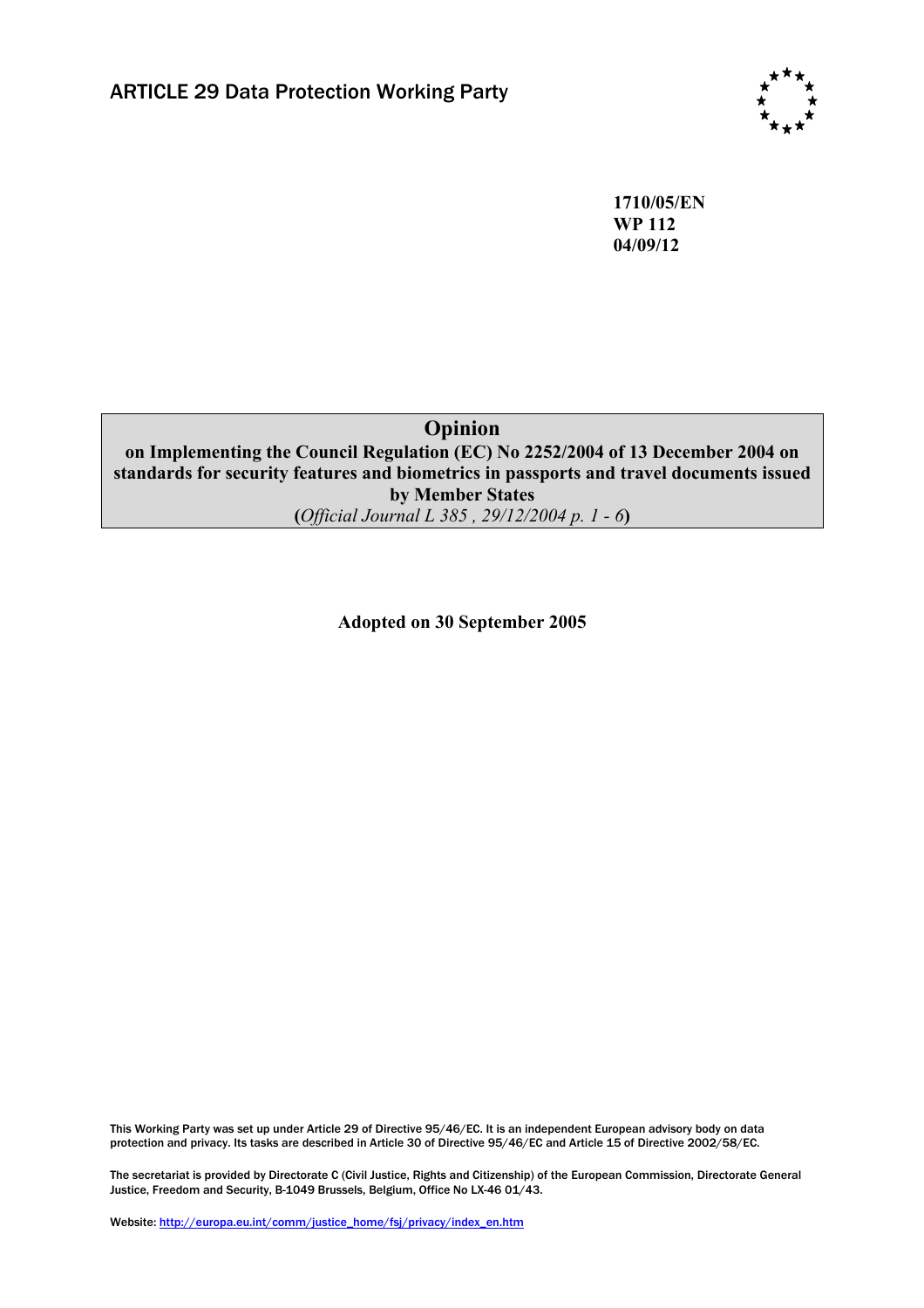

**1710/05/EN WP 112 04/09/12** 

**Opinion** 

**on Implementing the Council Regulation (EC) No 2252/2004 of 13 December 2004 on standards for security features and biometrics in passports and travel documents issued by Member States (***Official Journal L 385 , 29/12/2004 p. 1 - 6***)** 

**Adopted on 30 September 2005** 

This Working Party was set up under Article 29 of Directive 95/46/EC. It is an independent European advisory body on data protection and privacy. Its tasks are described in Article 30 of Directive 95/46/EC and Article 15 of Directive 2002/58/EC.

The secretariat is provided by Directorate C (Civil Justice, Rights and Citizenship) of the European Commission, Directorate General Justice, Freedom and Security, B-1049 Brussels, Belgium, Office No LX-46 01/43.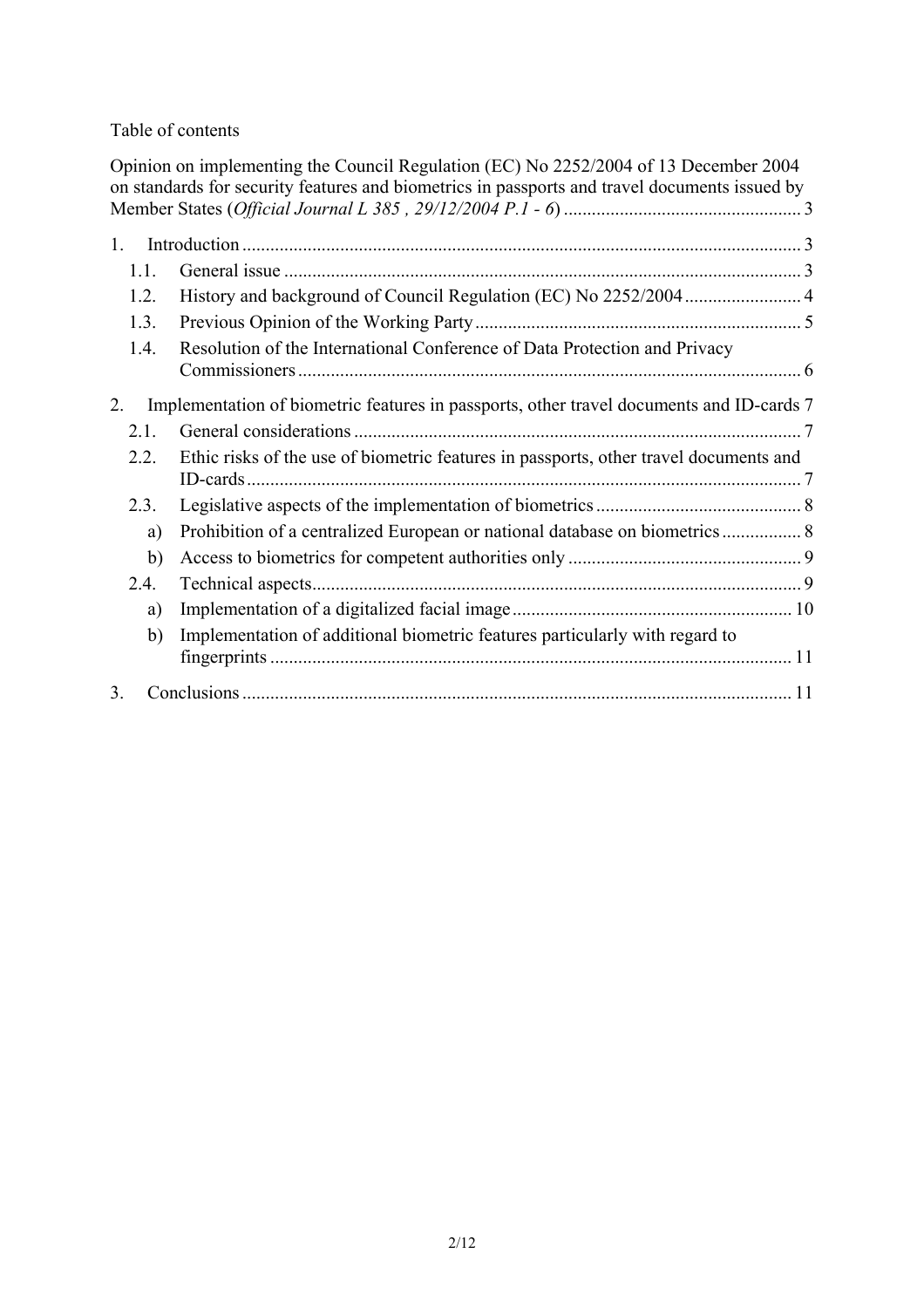### Table of contents

|                                                                                                | Opinion on implementing the Council Regulation (EC) No 2252/2004 of 13 December 2004<br>on standards for security features and biometrics in passports and travel documents issued by |  |
|------------------------------------------------------------------------------------------------|---------------------------------------------------------------------------------------------------------------------------------------------------------------------------------------|--|
|                                                                                                |                                                                                                                                                                                       |  |
| $\mathbf{1}$                                                                                   |                                                                                                                                                                                       |  |
| 1.1.                                                                                           |                                                                                                                                                                                       |  |
| 1.2.                                                                                           |                                                                                                                                                                                       |  |
| 1.3.                                                                                           |                                                                                                                                                                                       |  |
| 1.4.                                                                                           | Resolution of the International Conference of Data Protection and Privacy                                                                                                             |  |
| Implementation of biometric features in passports, other travel documents and ID-cards 7<br>2. |                                                                                                                                                                                       |  |
| 2.1.                                                                                           |                                                                                                                                                                                       |  |
| 2.2.                                                                                           | Ethic risks of the use of biometric features in passports, other travel documents and                                                                                                 |  |
| 2.3.                                                                                           |                                                                                                                                                                                       |  |
| a)                                                                                             |                                                                                                                                                                                       |  |
| b)                                                                                             |                                                                                                                                                                                       |  |
| 2.4.                                                                                           |                                                                                                                                                                                       |  |
| a)                                                                                             |                                                                                                                                                                                       |  |
| b)                                                                                             | Implementation of additional biometric features particularly with regard to                                                                                                           |  |
| 3                                                                                              |                                                                                                                                                                                       |  |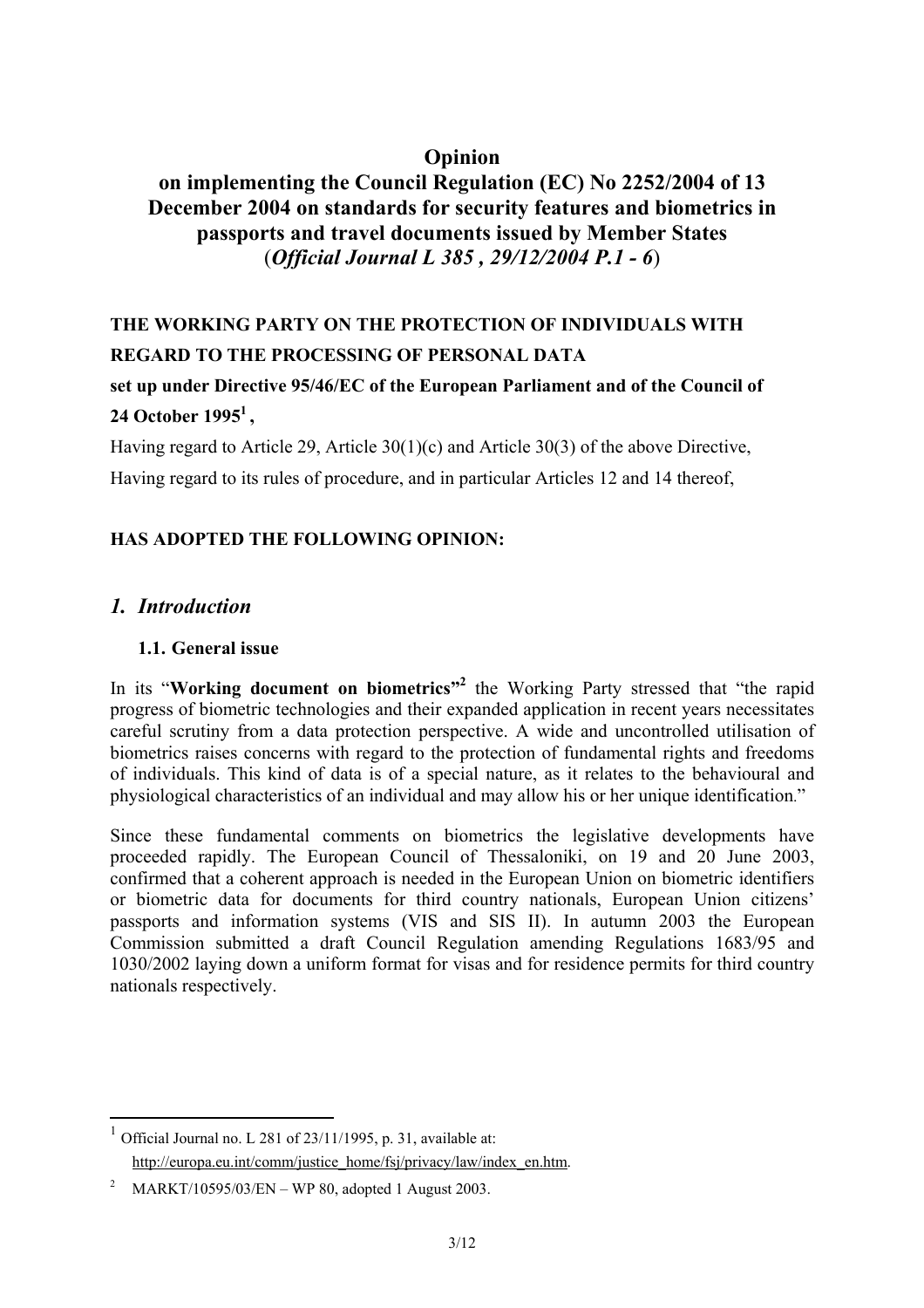## **Opinion**

# **on implementing the Council Regulation (EC) No 2252/2004 of 13 December 2004 on standards for security features and biometrics in passports and travel documents issued by Member States**  (*Official Journal L 385 , 29/12/2004 P.1 - 6*)

# **THE WORKING PARTY ON THE PROTECTION OF INDIVIDUALS WITH REGARD TO THE PROCESSING OF PERSONAL DATA**

# **set up under Directive 95/46/EC of the European Parliament and of the Council of 24 October 19951 ,**

Having regard to Article 29, Article 30(1)(c) and Article 30(3) of the above Directive,

Having regard to its rules of procedure, and in particular Articles 12 and 14 thereof,

## **HAS ADOPTED THE FOLLOWING OPINION:**

## *1. Introduction*

 $\overline{a}$ 

### **1.1. General issue**

In its "Working document on biometrics"<sup>2</sup> the Working Party stressed that "the rapid progress of biometric technologies and their expanded application in recent years necessitates careful scrutiny from a data protection perspective. A wide and uncontrolled utilisation of biometrics raises concerns with regard to the protection of fundamental rights and freedoms of individuals. This kind of data is of a special nature, as it relates to the behavioural and physiological characteristics of an individual and may allow his or her unique identification."

Since these fundamental comments on biometrics the legislative developments have proceeded rapidly. The European Council of Thessaloniki, on 19 and 20 June 2003, confirmed that a coherent approach is needed in the European Union on biometric identifiers or biometric data for documents for third country nationals, European Union citizens' passports and information systems (VIS and SIS II). In autumn 2003 the European Commission submitted a draft Council Regulation amending Regulations 1683/95 and 1030/2002 laying down a uniform format for visas and for residence permits for third country nationals respectively.

<sup>&</sup>lt;sup>1</sup> Official Journal no. L 281 of 23/11/1995, p. 31, available at: http://europa.eu.int/comm/justice\_home/fsj/privacy/law/index\_en.htm.

<sup>&</sup>lt;sup>2</sup> MARKT/10595/03/EN – WP 80, adopted 1 August 2003.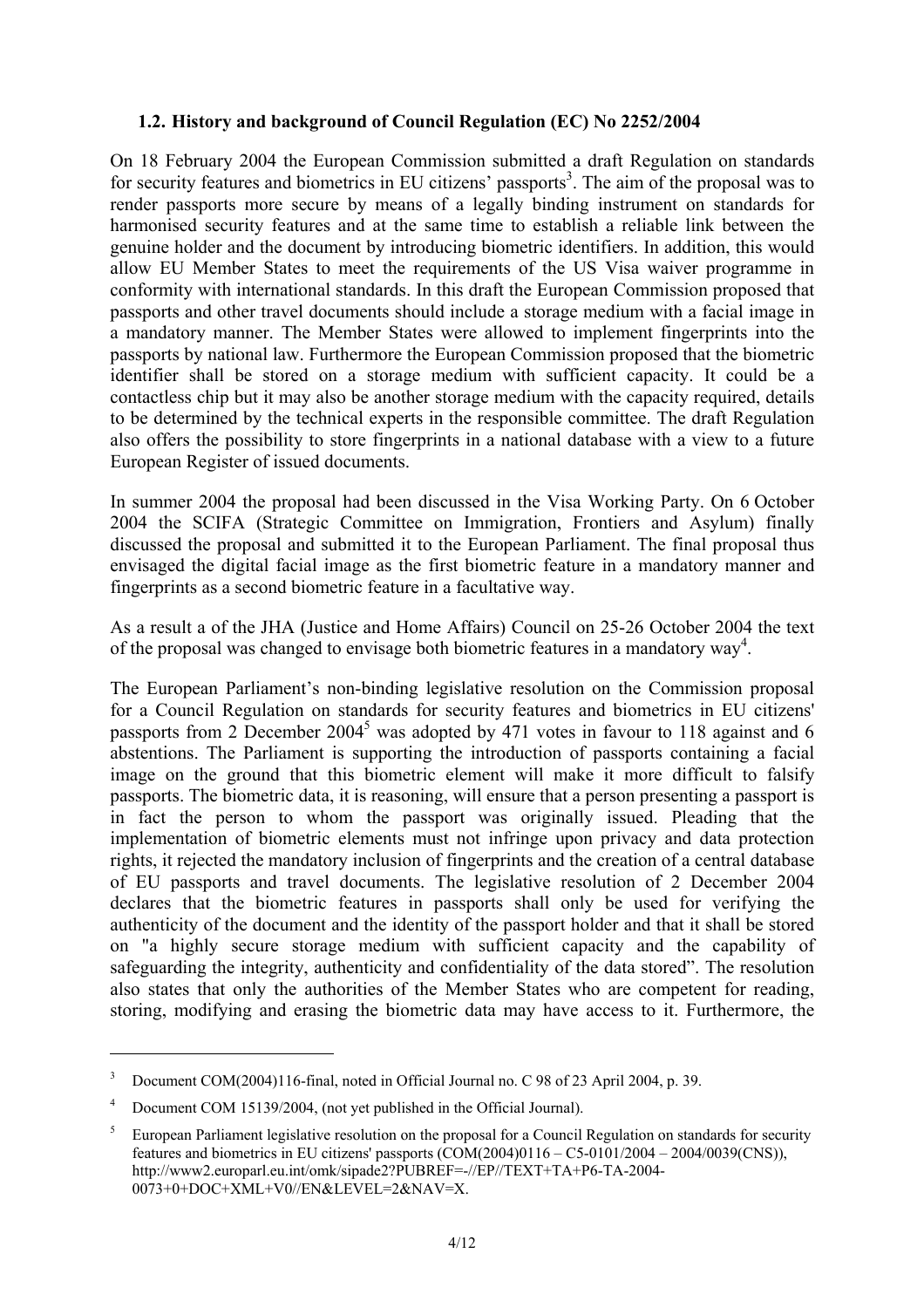#### **1.2. History and background of Council Regulation (EC) No 2252/2004**

On 18 February 2004 the European Commission submitted a draft Regulation on standards for security features and biometrics in EU citizens' passports<sup>3</sup>. The aim of the proposal was to render passports more secure by means of a legally binding instrument on standards for harmonised security features and at the same time to establish a reliable link between the genuine holder and the document by introducing biometric identifiers. In addition, this would allow EU Member States to meet the requirements of the US Visa waiver programme in conformity with international standards. In this draft the European Commission proposed that passports and other travel documents should include a storage medium with a facial image in a mandatory manner. The Member States were allowed to implement fingerprints into the passports by national law. Furthermore the European Commission proposed that the biometric identifier shall be stored on a storage medium with sufficient capacity. It could be a contactless chip but it may also be another storage medium with the capacity required, details to be determined by the technical experts in the responsible committee. The draft Regulation also offers the possibility to store fingerprints in a national database with a view to a future European Register of issued documents.

In summer 2004 the proposal had been discussed in the Visa Working Party. On 6 October 2004 the SCIFA (Strategic Committee on Immigration, Frontiers and Asylum) finally discussed the proposal and submitted it to the European Parliament. The final proposal thus envisaged the digital facial image as the first biometric feature in a mandatory manner and fingerprints as a second biometric feature in a facultative way.

As a result a of the JHA (Justice and Home Affairs) Council on 25-26 October 2004 the text of the proposal was changed to envisage both biometric features in a mandatory way<sup>4</sup>.

The European Parliament's non-binding legislative resolution on the Commission proposal for a Council Regulation on standards for security features and biometrics in EU citizens' passports from 2 December  $2004^5$  was adopted by 471 votes in favour to 118 against and 6 abstentions. The Parliament is supporting the introduction of passports containing a facial image on the ground that this biometric element will make it more difficult to falsify passports. The biometric data, it is reasoning, will ensure that a person presenting a passport is in fact the person to whom the passport was originally issued. Pleading that the implementation of biometric elements must not infringe upon privacy and data protection rights, it rejected the mandatory inclusion of fingerprints and the creation of a central database of EU passports and travel documents. The legislative resolution of 2 December 2004 declares that the biometric features in passports shall only be used for verifying the authenticity of the document and the identity of the passport holder and that it shall be stored on "a highly secure storage medium with sufficient capacity and the capability of safeguarding the integrity, authenticity and confidentiality of the data stored". The resolution also states that only the authorities of the Member States who are competent for reading, storing, modifying and erasing the biometric data may have access to it. Furthermore, the

<sup>3</sup> Document COM(2004)116-final, noted in Official Journal no. C 98 of 23 April 2004, p. 39.

<sup>4</sup> Document COM 15139/2004, (not yet published in the Official Journal).

<sup>5</sup> European Parliament legislative resolution on the proposal for a Council Regulation on standards for security features and biometrics in EU citizens' passports (COM(2004)0116 – C5-0101/2004 – 2004/0039(CNS)), http://www2.europarl.eu.int/omk/sipade2?PUBREF=-//EP//TEXT+TA+P6-TA-2004- 0073+0+DOC+XML+V0//EN&LEVEL=2&NAV=X.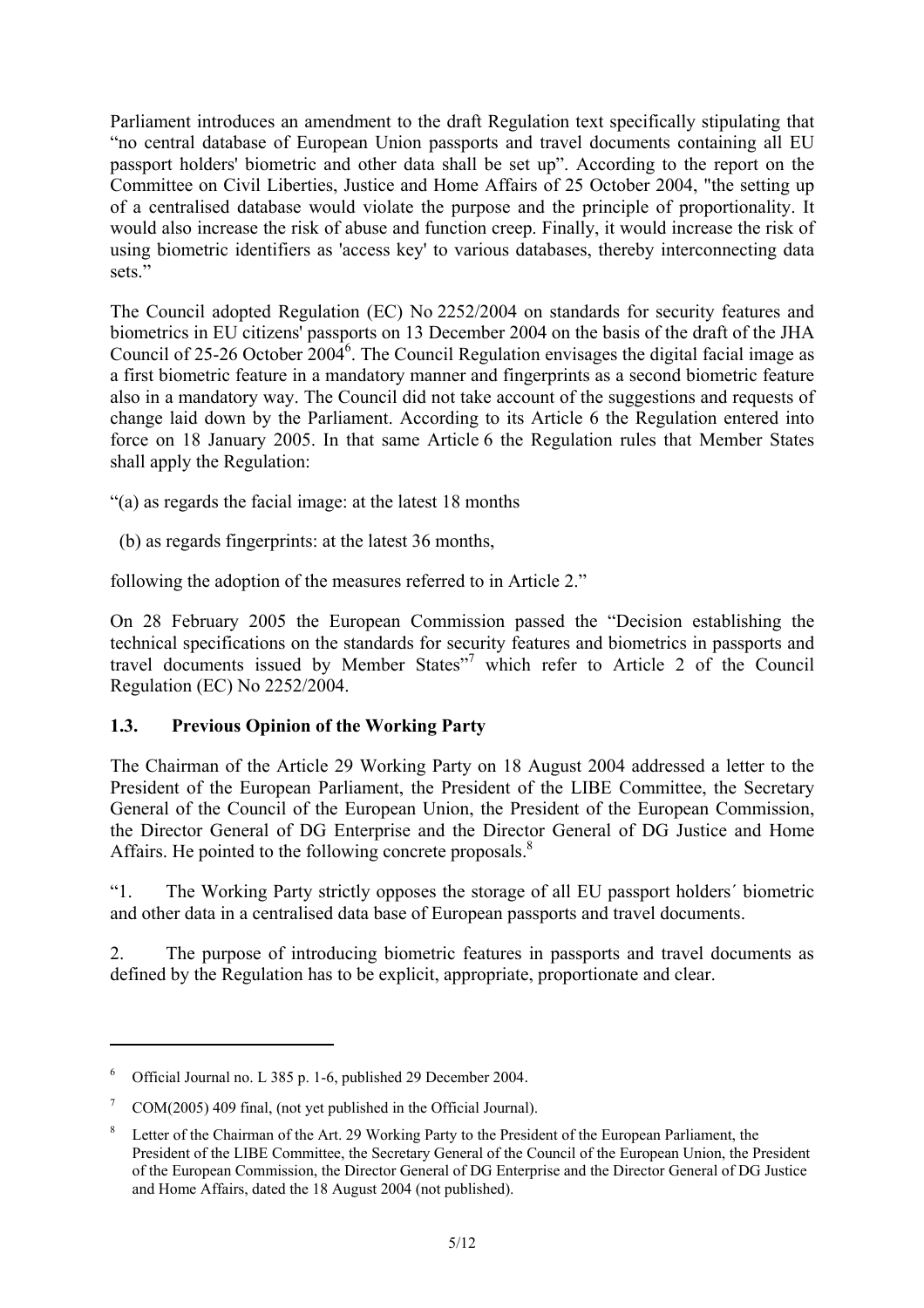Parliament introduces an amendment to the draft Regulation text specifically stipulating that "no central database of European Union passports and travel documents containing all EU passport holders' biometric and other data shall be set up". According to the report on the Committee on Civil Liberties, Justice and Home Affairs of 25 October 2004, "the setting up of a centralised database would violate the purpose and the principle of proportionality. It would also increase the risk of abuse and function creep. Finally, it would increase the risk of using biometric identifiers as 'access key' to various databases, thereby interconnecting data sets."

The Council adopted Regulation (EC) No 2252/2004 on standards for security features and biometrics in EU citizens' passports on 13 December 2004 on the basis of the draft of the JHA Council of 25-26 October  $2004^6$ . The Council Regulation envisages the digital facial image as a first biometric feature in a mandatory manner and fingerprints as a second biometric feature also in a mandatory way. The Council did not take account of the suggestions and requests of change laid down by the Parliament. According to its Article 6 the Regulation entered into force on 18 January 2005. In that same Article 6 the Regulation rules that Member States shall apply the Regulation:

"(a) as regards the facial image: at the latest 18 months

(b) as regards fingerprints: at the latest 36 months,

following the adoption of the measures referred to in Article 2."

On 28 February 2005 the European Commission passed the "Decision establishing the technical specifications on the standards for security features and biometrics in passports and travel documents issued by Member States"<sup>7</sup> which refer to Article 2 of the Council Regulation (EC) No 2252/2004.

### **1.3. Previous Opinion of the Working Party**

The Chairman of the Article 29 Working Party on 18 August 2004 addressed a letter to the President of the European Parliament, the President of the LIBE Committee, the Secretary General of the Council of the European Union, the President of the European Commission, the Director General of DG Enterprise and the Director General of DG Justice and Home Affairs. He pointed to the following concrete proposals.<sup>8</sup>

"1. The Working Party strictly opposes the storage of all EU passport holders´ biometric and other data in a centralised data base of European passports and travel documents.

2. The purpose of introducing biometric features in passports and travel documents as defined by the Regulation has to be explicit, appropriate, proportionate and clear.

<sup>6</sup> Official Journal no. L 385 p. 1-6, published 29 December 2004.

<sup>7</sup> COM(2005) 409 final, (not yet published in the Official Journal).

<sup>8</sup> Letter of the Chairman of the Art. 29 Working Party to the President of the European Parliament, the President of the LIBE Committee, the Secretary General of the Council of the European Union, the President of the European Commission, the Director General of DG Enterprise and the Director General of DG Justice and Home Affairs, dated the 18 August 2004 (not published).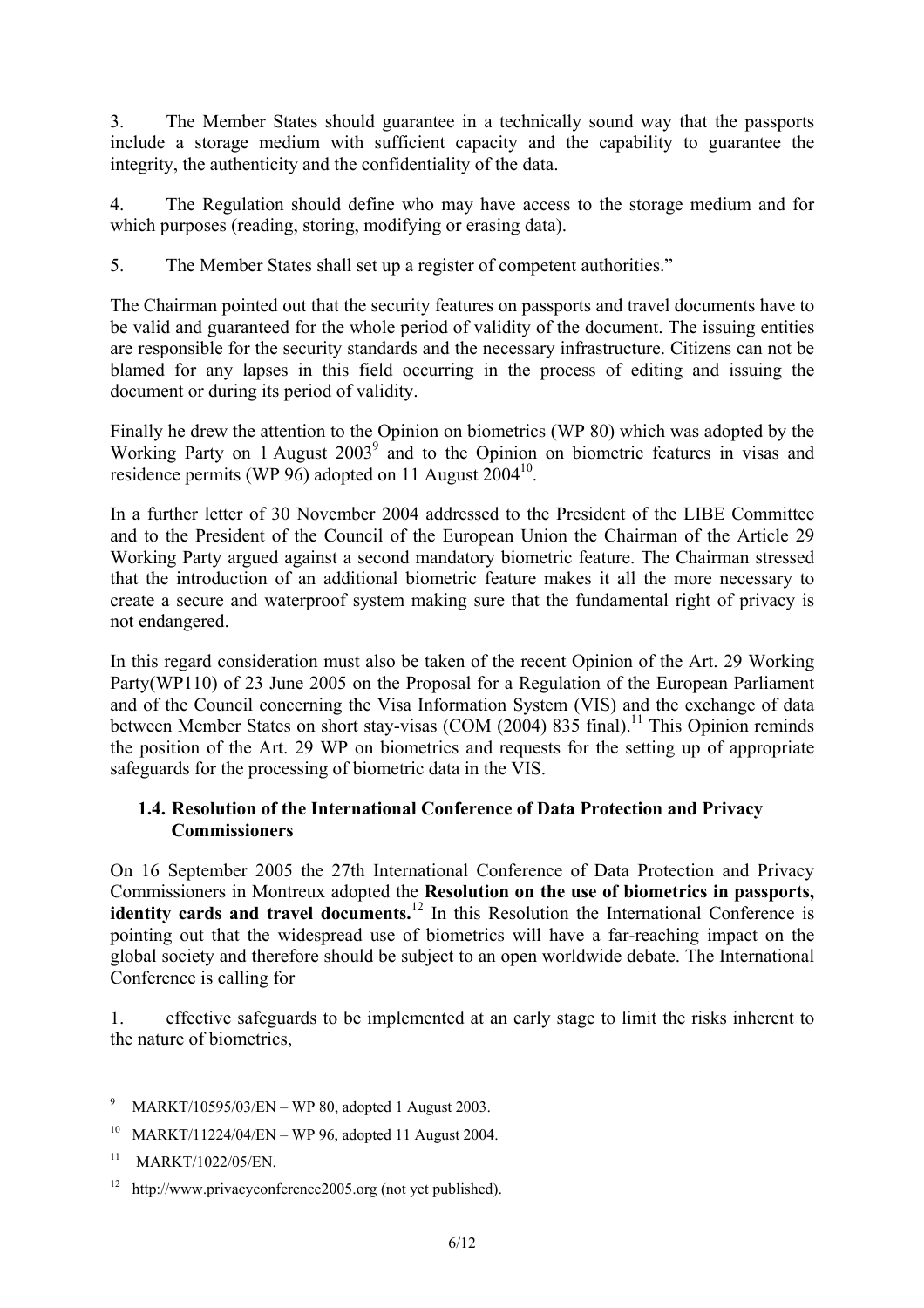3. The Member States should guarantee in a technically sound way that the passports include a storage medium with sufficient capacity and the capability to guarantee the integrity, the authenticity and the confidentiality of the data.

4. The Regulation should define who may have access to the storage medium and for which purposes (reading, storing, modifying or erasing data).

5. The Member States shall set up a register of competent authorities."

The Chairman pointed out that the security features on passports and travel documents have to be valid and guaranteed for the whole period of validity of the document. The issuing entities are responsible for the security standards and the necessary infrastructure. Citizens can not be blamed for any lapses in this field occurring in the process of editing and issuing the document or during its period of validity.

Finally he drew the attention to the Opinion on biometrics (WP 80) which was adopted by the Working Party on 1 August 2003<sup>9</sup> and to the Opinion on biometric features in visas and residence permits (WP 96) adopted on 11 August  $2004^{10}$ .

In a further letter of 30 November 2004 addressed to the President of the LIBE Committee and to the President of the Council of the European Union the Chairman of the Article 29 Working Party argued against a second mandatory biometric feature. The Chairman stressed that the introduction of an additional biometric feature makes it all the more necessary to create a secure and waterproof system making sure that the fundamental right of privacy is not endangered.

In this regard consideration must also be taken of the recent Opinion of the Art. 29 Working Party(WP110) of 23 June 2005 on the Proposal for a Regulation of the European Parliament and of the Council concerning the Visa Information System (VIS) and the exchange of data between Member States on short stay-visas (COM  $(2004) 835$  final).<sup>11</sup> This Opinion reminds the position of the Art. 29 WP on biometrics and requests for the setting up of appropriate safeguards for the processing of biometric data in the VIS.

### **1.4. Resolution of the International Conference of Data Protection and Privacy Commissioners**

On 16 September 2005 the 27th International Conference of Data Protection and Privacy Commissioners in Montreux adopted the **Resolution on the use of biometrics in passports, identity cards and travel documents.**<sup>12</sup> In this Resolution the International Conference is pointing out that the widespread use of biometrics will have a far-reaching impact on the global society and therefore should be subject to an open worldwide debate. The International Conference is calling for

1. effective safeguards to be implemented at an early stage to limit the risks inherent to the nature of biometrics,

<sup>9</sup> MARKT/10595/03/EN – WP 80, adopted 1 August 2003.

<sup>10</sup> MARKT/11224/04/EN – WP 96, adopted 11 August 2004.

 $^{11}$  MARKT/1022/05/EN.

<sup>12</sup> http://www.privacyconference2005.org (not yet published).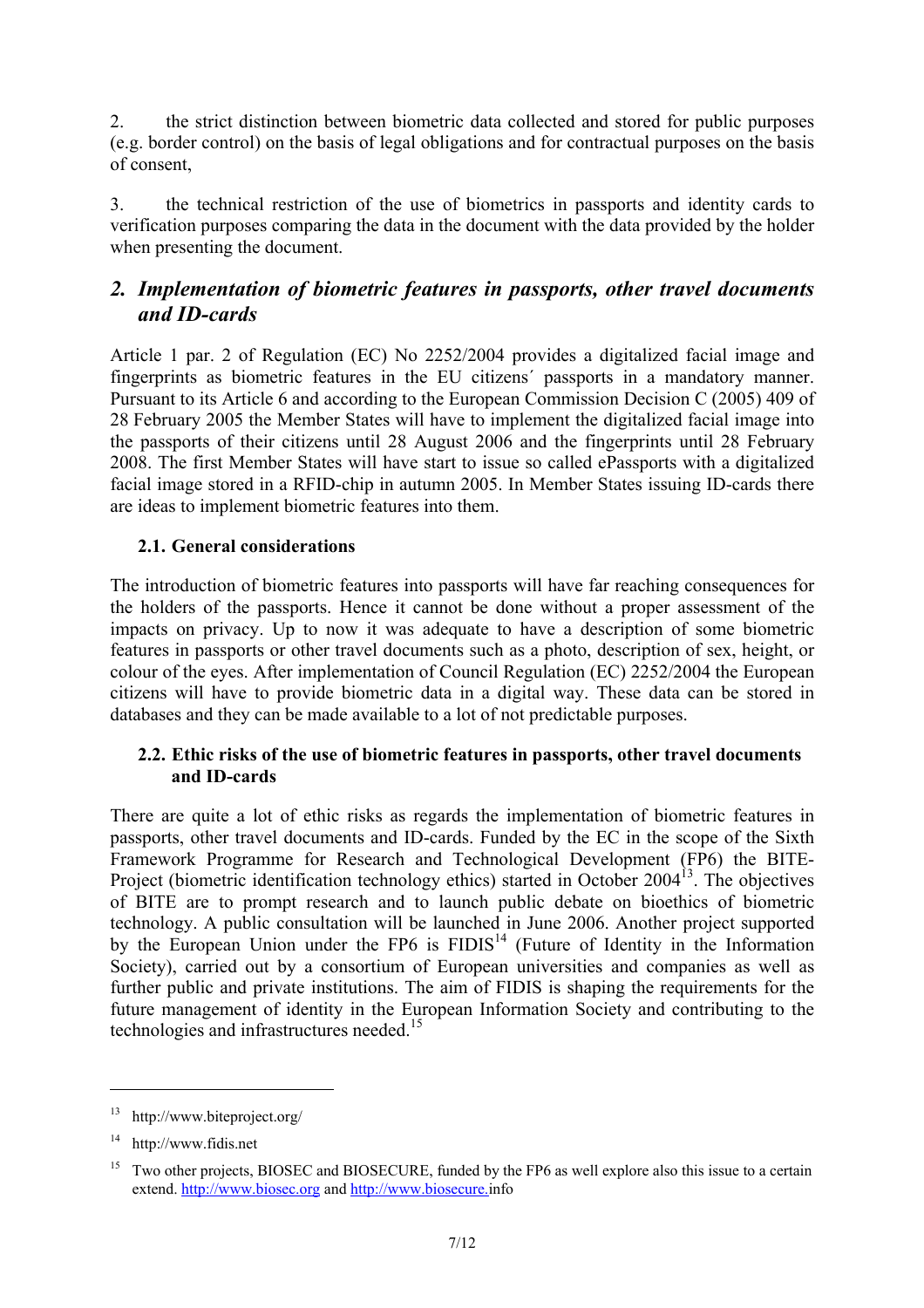2. the strict distinction between biometric data collected and stored for public purposes (e.g. border control) on the basis of legal obligations and for contractual purposes on the basis of consent,

3. the technical restriction of the use of biometrics in passports and identity cards to verification purposes comparing the data in the document with the data provided by the holder when presenting the document.

# *2. Implementation of biometric features in passports, other travel documents and ID-cards*

Article 1 par. 2 of Regulation (EC) No 2252/2004 provides a digitalized facial image and fingerprints as biometric features in the EU citizens´ passports in a mandatory manner. Pursuant to its Article 6 and according to the European Commission Decision C (2005) 409 of 28 February 2005 the Member States will have to implement the digitalized facial image into the passports of their citizens until 28 August 2006 and the fingerprints until 28 February 2008. The first Member States will have start to issue so called ePassports with a digitalized facial image stored in a RFID-chip in autumn 2005. In Member States issuing ID-cards there are ideas to implement biometric features into them.

### **2.1. General considerations**

The introduction of biometric features into passports will have far reaching consequences for the holders of the passports. Hence it cannot be done without a proper assessment of the impacts on privacy. Up to now it was adequate to have a description of some biometric features in passports or other travel documents such as a photo, description of sex, height, or colour of the eyes. After implementation of Council Regulation (EC) 2252/2004 the European citizens will have to provide biometric data in a digital way. These data can be stored in databases and they can be made available to a lot of not predictable purposes.

### **2.2. Ethic risks of the use of biometric features in passports, other travel documents and ID-cards**

There are quite a lot of ethic risks as regards the implementation of biometric features in passports, other travel documents and ID-cards. Funded by the EC in the scope of the Sixth Framework Programme for Research and Technological Development (FP6) the BITE-Project (biometric identification technology ethics) started in October 2004<sup>13</sup>. The objectives of BITE are to prompt research and to launch public debate on bioethics of biometric technology. A public consultation will be launched in June 2006. Another project supported by the European Union under the FP6 is  $FIDIS<sup>14</sup>$  (Future of Identity in the Information Society), carried out by a consortium of European universities and companies as well as further public and private institutions. The aim of FIDIS is shaping the requirements for the future management of identity in the European Information Society and contributing to the technologies and infrastructures needed.<sup>15</sup>

<sup>13</sup> http://www.biteproject.org/

<sup>14</sup> http://www.fidis.net

<sup>&</sup>lt;sup>15</sup> Two other projects, BIOSEC and BIOSECURE, funded by the FP6 as well explore also this issue to a certain extend. http://www.biosec.org and http://www.biosecure.info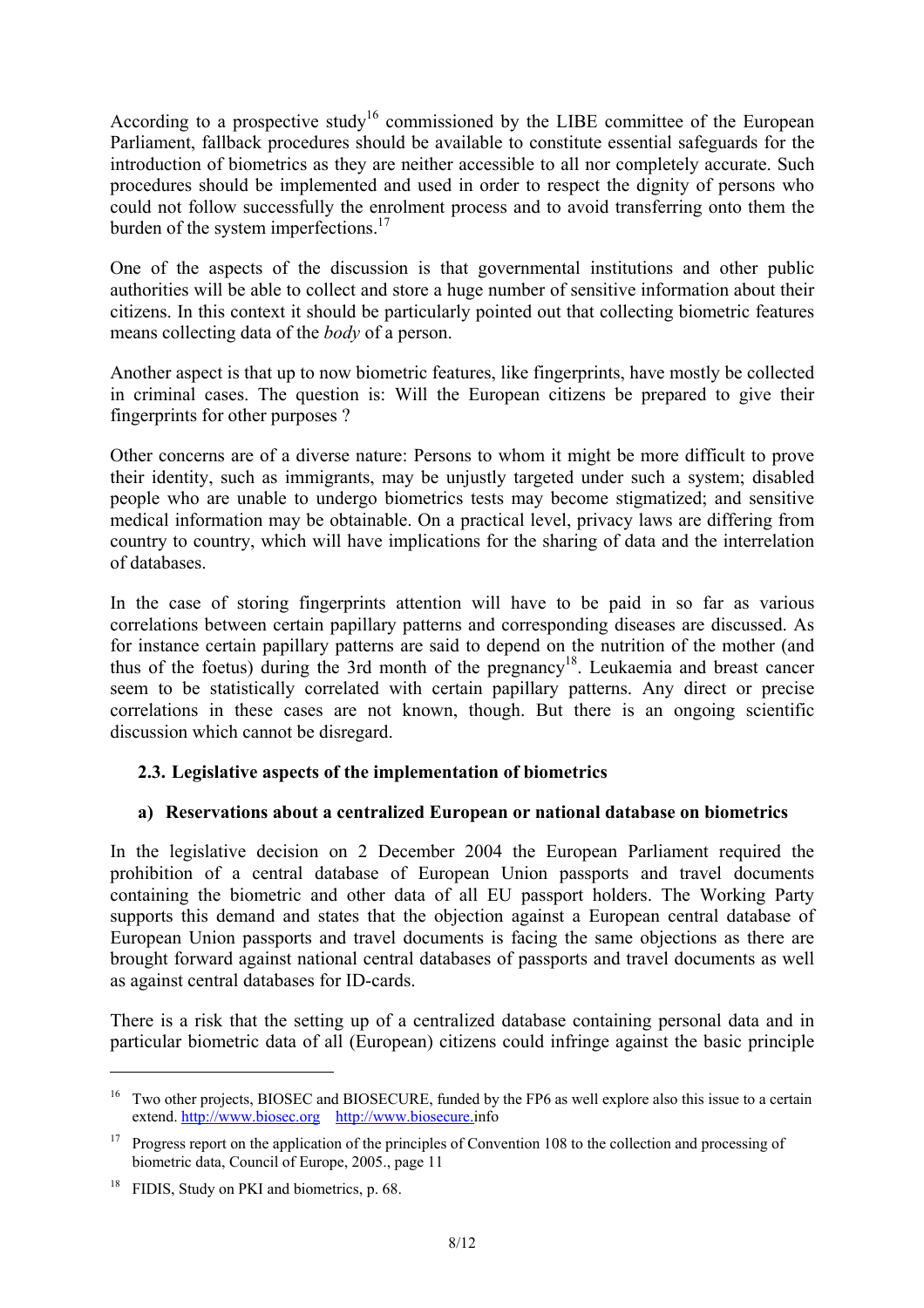According to a prospective study<sup>16</sup> commissioned by the LIBE committee of the European Parliament, fallback procedures should be available to constitute essential safeguards for the introduction of biometrics as they are neither accessible to all nor completely accurate. Such procedures should be implemented and used in order to respect the dignity of persons who could not follow successfully the enrolment process and to avoid transferring onto them the burden of the system imperfections.<sup>17</sup>

One of the aspects of the discussion is that governmental institutions and other public authorities will be able to collect and store a huge number of sensitive information about their citizens. In this context it should be particularly pointed out that collecting biometric features means collecting data of the *body* of a person.

Another aspect is that up to now biometric features, like fingerprints, have mostly be collected in criminal cases. The question is: Will the European citizens be prepared to give their fingerprints for other purposes ?

Other concerns are of a diverse nature: Persons to whom it might be more difficult to prove their identity, such as immigrants, may be unjustly targeted under such a system; disabled people who are unable to undergo biometrics tests may become stigmatized; and sensitive medical information may be obtainable. On a practical level, privacy laws are differing from country to country, which will have implications for the sharing of data and the interrelation of databases.

In the case of storing fingerprints attention will have to be paid in so far as various correlations between certain papillary patterns and corresponding diseases are discussed. As for instance certain papillary patterns are said to depend on the nutrition of the mother (and thus of the foetus) during the 3rd month of the pregnancy<sup>18</sup>. Leukaemia and breast cancer seem to be statistically correlated with certain papillary patterns. Any direct or precise correlations in these cases are not known, though. But there is an ongoing scientific discussion which cannot be disregard.

### **2.3. Legislative aspects of the implementation of biometrics**

### **a) Reservations about a centralized European or national database on biometrics**

In the legislative decision on 2 December 2004 the European Parliament required the prohibition of a central database of European Union passports and travel documents containing the biometric and other data of all EU passport holders. The Working Party supports this demand and states that the objection against a European central database of European Union passports and travel documents is facing the same objections as there are brought forward against national central databases of passports and travel documents as well as against central databases for ID-cards.

There is a risk that the setting up of a centralized database containing personal data and in particular biometric data of all (European) citizens could infringe against the basic principle

<sup>&</sup>lt;sup>16</sup> Two other projects. BIOSEC and BIOSECURE, funded by the FP6 as well explore also this issue to a certain extend. http://www.biosec.org http://www.biosecure.info

<sup>&</sup>lt;sup>17</sup> Progress report on the application of the principles of Convention 108 to the collection and processing of biometric data, Council of Europe, 2005., page 11

<sup>&</sup>lt;sup>18</sup> FIDIS, Study on PKI and biometrics, p. 68.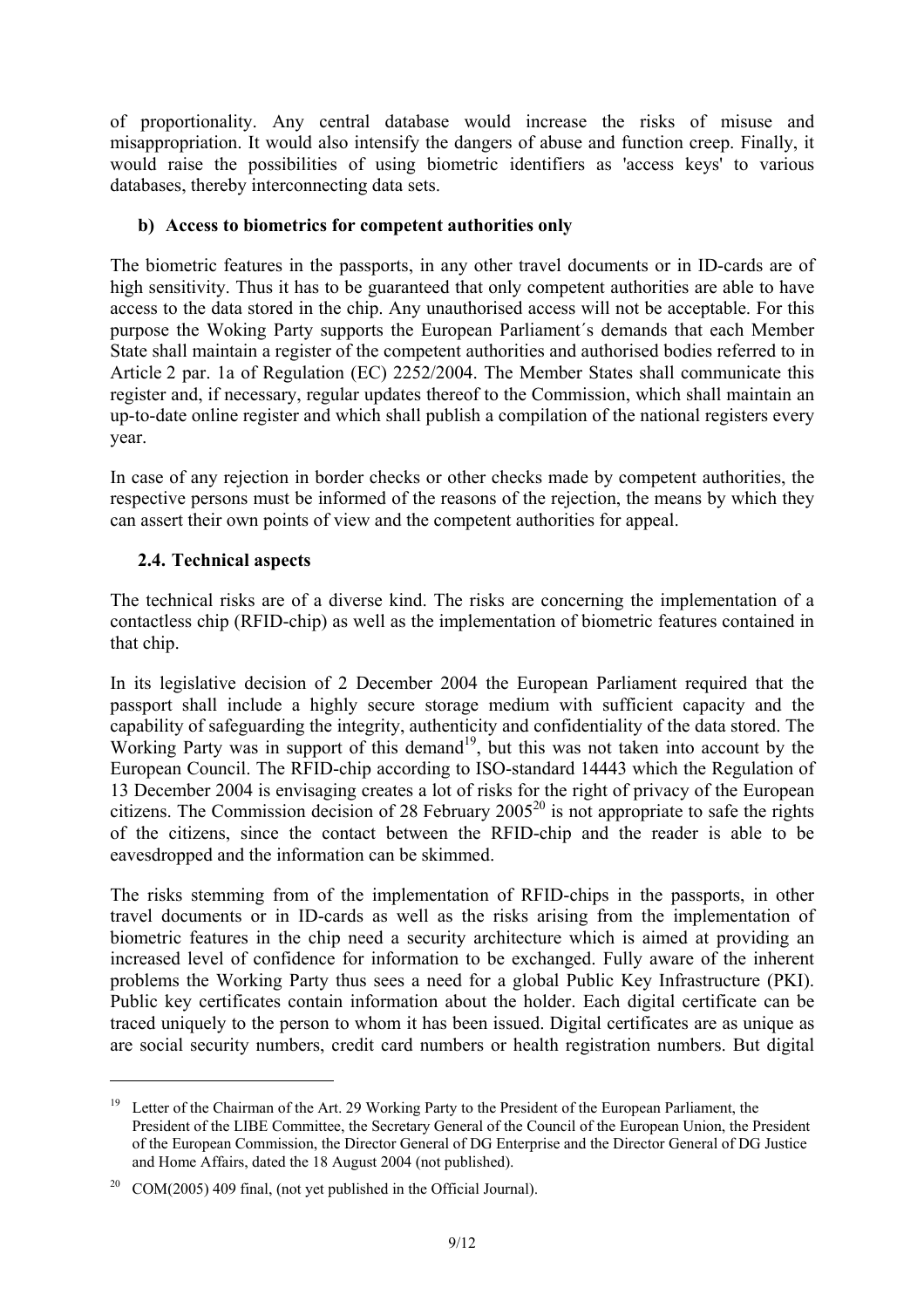of proportionality. Any central database would increase the risks of misuse and misappropriation. It would also intensify the dangers of abuse and function creep. Finally, it would raise the possibilities of using biometric identifiers as 'access keys' to various databases, thereby interconnecting data sets.

### **b) Access to biometrics for competent authorities only**

The biometric features in the passports, in any other travel documents or in ID-cards are of high sensitivity. Thus it has to be guaranteed that only competent authorities are able to have access to the data stored in the chip. Any unauthorised access will not be acceptable. For this purpose the Woking Party supports the European Parliament´s demands that each Member State shall maintain a register of the competent authorities and authorised bodies referred to in Article 2 par. 1a of Regulation (EC) 2252/2004. The Member States shall communicate this register and, if necessary, regular updates thereof to the Commission, which shall maintain an up-to-date online register and which shall publish a compilation of the national registers every year.

In case of any rejection in border checks or other checks made by competent authorities, the respective persons must be informed of the reasons of the rejection, the means by which they can assert their own points of view and the competent authorities for appeal.

### **2.4. Technical aspects**

 $\overline{a}$ 

The technical risks are of a diverse kind. The risks are concerning the implementation of a contactless chip (RFID-chip) as well as the implementation of biometric features contained in that chip.

In its legislative decision of 2 December 2004 the European Parliament required that the passport shall include a highly secure storage medium with sufficient capacity and the capability of safeguarding the integrity, authenticity and confidentiality of the data stored. The Working Party was in support of this demand<sup>19</sup>, but this was not taken into account by the European Council. The RFID-chip according to ISO-standard 14443 which the Regulation of 13 December 2004 is envisaging creates a lot of risks for the right of privacy of the European citizens. The Commission decision of 28 February  $2005^{20}$  is not appropriate to safe the rights of the citizens, since the contact between the RFID-chip and the reader is able to be eavesdropped and the information can be skimmed.

The risks stemming from of the implementation of RFID-chips in the passports, in other travel documents or in ID-cards as well as the risks arising from the implementation of biometric features in the chip need a security architecture which is aimed at providing an increased level of confidence for information to be exchanged. Fully aware of the inherent problems the Working Party thus sees a need for a global Public Key Infrastructure (PKI). Public key certificates contain information about the holder. Each digital certificate can be traced uniquely to the person to whom it has been issued. Digital certificates are as unique as are social security numbers, credit card numbers or health registration numbers. But digital

<sup>&</sup>lt;sup>19</sup> Letter of the Chairman of the Art. 29 Working Party to the President of the European Parliament, the President of the LIBE Committee, the Secretary General of the Council of the European Union, the President of the European Commission, the Director General of DG Enterprise and the Director General of DG Justice and Home Affairs, dated the 18 August 2004 (not published).

<sup>20</sup> COM(2005) 409 final, (not yet published in the Official Journal).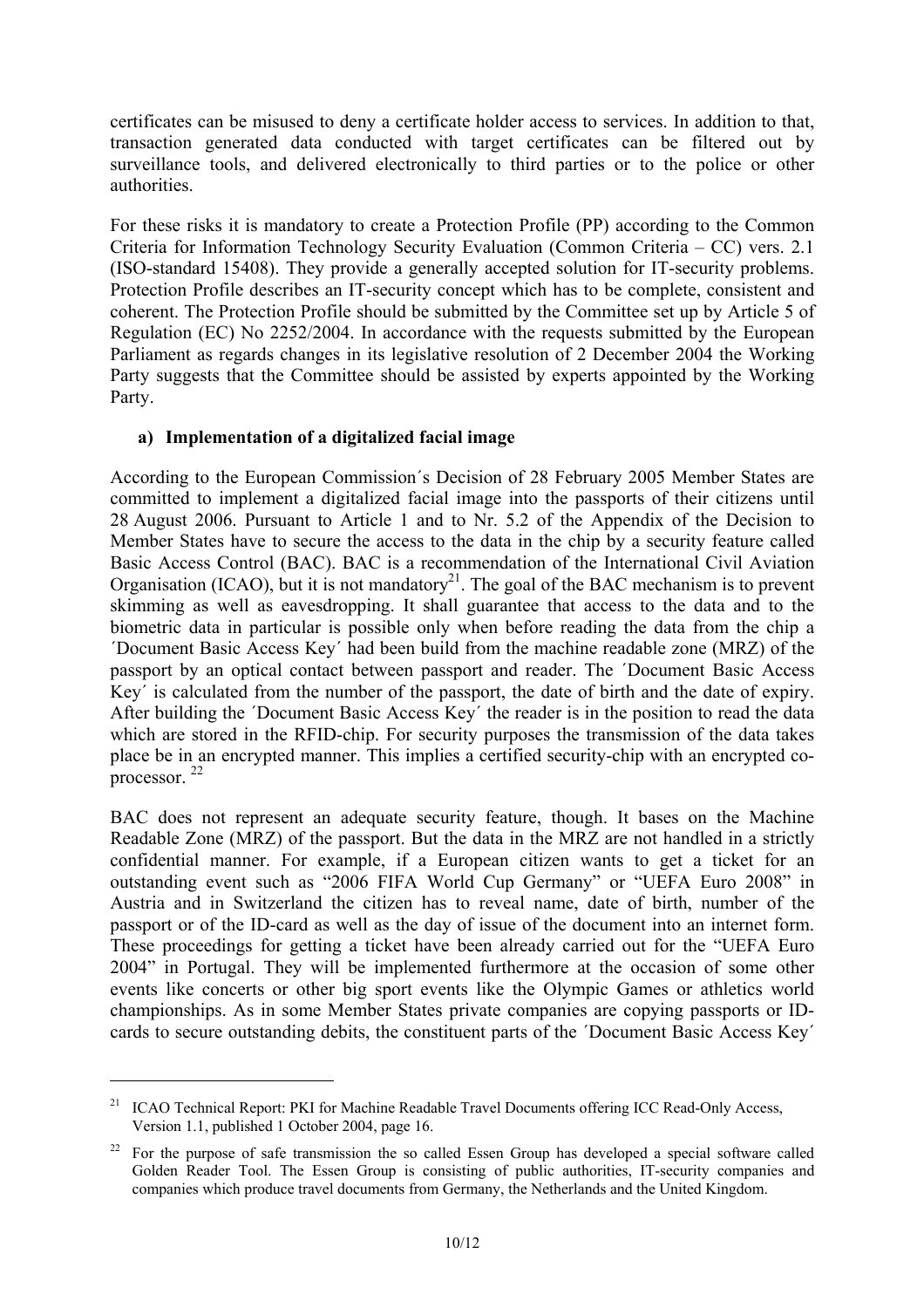certificates can be misused to deny a certificate holder access to services. In addition to that, transaction generated data conducted with target certificates can be filtered out by surveillance tools, and delivered electronically to third parties or to the police or other authorities.

For these risks it is mandatory to create a Protection Profile (PP) according to the Common Criteria for Information Technology Security Evaluation (Common Criteria – CC) vers. 2.1 (ISO-standard 15408). They provide a generally accepted solution for IT-security problems. Protection Profile describes an IT-security concept which has to be complete, consistent and coherent. The Protection Profile should be submitted by the Committee set up by Article 5 of Regulation (EC) No 2252/2004. In accordance with the requests submitted by the European Parliament as regards changes in its legislative resolution of 2 December 2004 the Working Party suggests that the Committee should be assisted by experts appointed by the Working Party.

### **a) Implementation of a digitalized facial image**

According to the European Commission´s Decision of 28 February 2005 Member States are committed to implement a digitalized facial image into the passports of their citizens until 28 August 2006. Pursuant to Article 1 and to Nr. 5.2 of the Appendix of the Decision to Member States have to secure the access to the data in the chip by a security feature called Basic Access Control (BAC). BAC is a recommendation of the International Civil Aviation Organisation (ICAO), but it is not mandatory<sup>21</sup>. The goal of the BAC mechanism is to prevent skimming as well as eavesdropping. It shall guarantee that access to the data and to the biometric data in particular is possible only when before reading the data from the chip a ´Document Basic Access Key´ had been build from the machine readable zone (MRZ) of the passport by an optical contact between passport and reader. The ´Document Basic Access Key´ is calculated from the number of the passport, the date of birth and the date of expiry. After building the ´Document Basic Access Key´ the reader is in the position to read the data which are stored in the RFID-chip. For security purposes the transmission of the data takes place be in an encrypted manner. This implies a certified security-chip with an encrypted coprocessor. 22

BAC does not represent an adequate security feature, though. It bases on the Machine Readable Zone (MRZ) of the passport. But the data in the MRZ are not handled in a strictly confidential manner. For example, if a European citizen wants to get a ticket for an outstanding event such as "2006 FIFA World Cup Germany" or "UEFA Euro 2008" in Austria and in Switzerland the citizen has to reveal name, date of birth, number of the passport or of the ID-card as well as the day of issue of the document into an internet form. These proceedings for getting a ticket have been already carried out for the "UEFA Euro 2004" in Portugal. They will be implemented furthermore at the occasion of some other events like concerts or other big sport events like the Olympic Games or athletics world championships. As in some Member States private companies are copying passports or IDcards to secure outstanding debits, the constituent parts of the ´Document Basic Access Key´

<sup>&</sup>lt;sup>21</sup> ICAO Technical Report: PKI for Machine Readable Travel Documents offering ICC Read-Only Access, Version 1.1, published 1 October 2004, page 16.

<sup>&</sup>lt;sup>22</sup> For the purpose of safe transmission the so called Essen Group has developed a special software called Golden Reader Tool. The Essen Group is consisting of public authorities, IT-security companies and companies which produce travel documents from Germany, the Netherlands and the United Kingdom.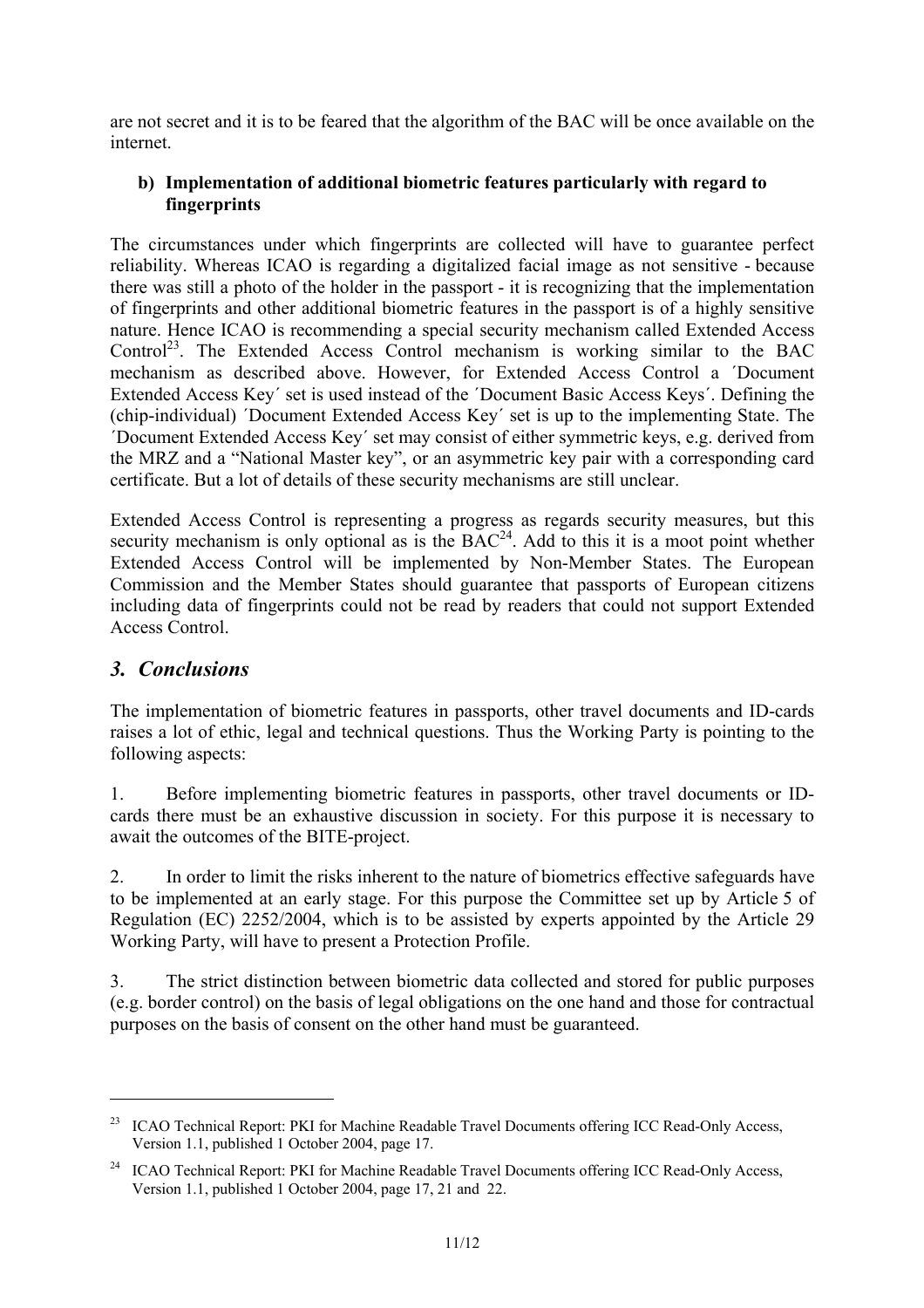are not secret and it is to be feared that the algorithm of the BAC will be once available on the internet.

### **b) Implementation of additional biometric features particularly with regard to fingerprints**

The circumstances under which fingerprints are collected will have to guarantee perfect reliability. Whereas ICAO is regarding a digitalized facial image as not sensitive - because there was still a photo of the holder in the passport - it is recognizing that the implementation of fingerprints and other additional biometric features in the passport is of a highly sensitive nature. Hence ICAO is recommending a special security mechanism called Extended Access Control<sup>23</sup>. The Extended Access Control mechanism is working similar to the BAC mechanism as described above. However, for Extended Access Control a ´Document Extended Access Key´ set is used instead of the ´Document Basic Access Keys´. Defining the (chip-individual) ´Document Extended Access Key´ set is up to the implementing State. The ´Document Extended Access Key´ set may consist of either symmetric keys, e.g. derived from the MRZ and a "National Master key", or an asymmetric key pair with a corresponding card certificate. But a lot of details of these security mechanisms are still unclear.

Extended Access Control is representing a progress as regards security measures, but this security mechanism is only optional as is the  $BAC<sup>24</sup>$ . Add to this it is a moot point whether Extended Access Control will be implemented by Non-Member States. The European Commission and the Member States should guarantee that passports of European citizens including data of fingerprints could not be read by readers that could not support Extended Access Control.

## *3. Conclusions*

 $\overline{a}$ 

The implementation of biometric features in passports, other travel documents and ID-cards raises a lot of ethic, legal and technical questions. Thus the Working Party is pointing to the following aspects:

1. Before implementing biometric features in passports, other travel documents or IDcards there must be an exhaustive discussion in society. For this purpose it is necessary to await the outcomes of the BITE-project.

2. In order to limit the risks inherent to the nature of biometrics effective safeguards have to be implemented at an early stage. For this purpose the Committee set up by Article 5 of Regulation (EC) 2252/2004, which is to be assisted by experts appointed by the Article 29 Working Party, will have to present a Protection Profile.

3. The strict distinction between biometric data collected and stored for public purposes (e.g. border control) on the basis of legal obligations on the one hand and those for contractual purposes on the basis of consent on the other hand must be guaranteed.

<sup>&</sup>lt;sup>23</sup> ICAO Technical Report: PKI for Machine Readable Travel Documents offering ICC Read-Only Access, Version 1.1, published 1 October 2004, page 17.

<sup>&</sup>lt;sup>24</sup> ICAO Technical Report: PKI for Machine Readable Travel Documents offering ICC Read-Only Access, Version 1.1, published 1 October 2004, page 17, 21 and 22.